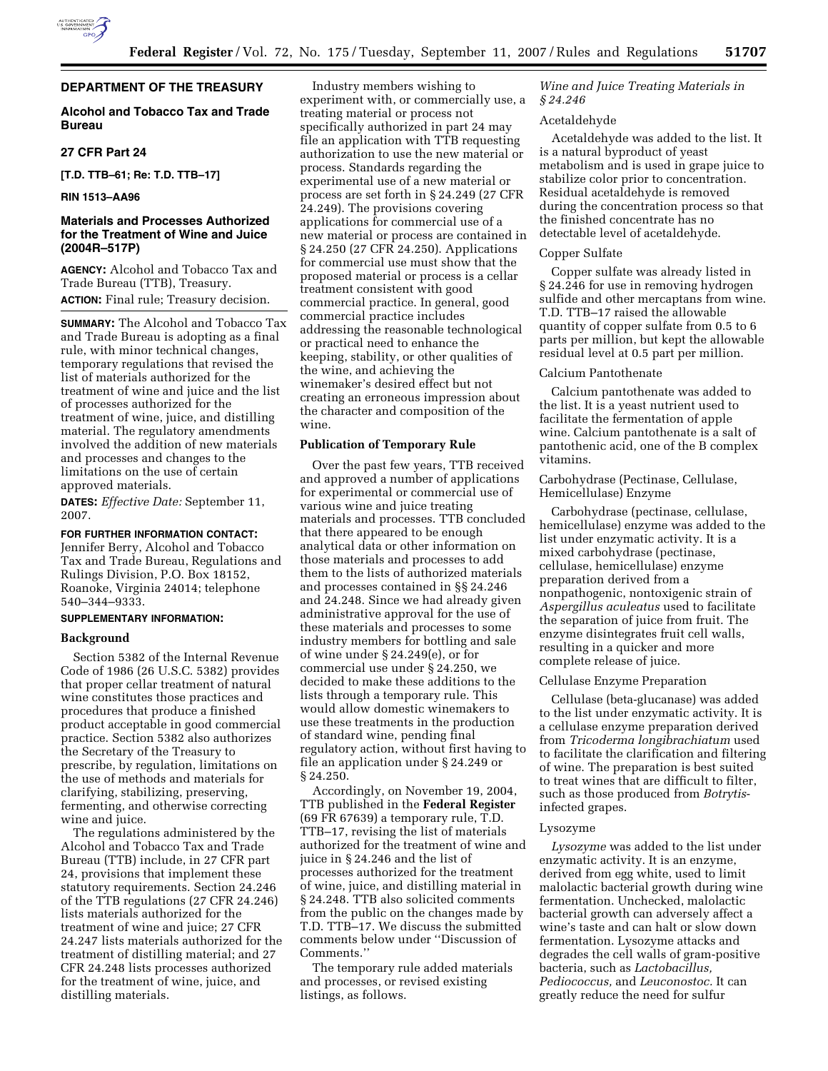

# **DEPARTMENT OF THE TREASURY**

# **Alcohol and Tobacco Tax and Trade Bureau**

# **27 CFR Part 24**

**[T.D. TTB–61; Re: T.D. TTB–17]** 

## **RIN 1513–AA96**

# **Materials and Processes Authorized for the Treatment of Wine and Juice (2004R–517P)**

**AGENCY:** Alcohol and Tobacco Tax and Trade Bureau (TTB), Treasury. **ACTION:** Final rule; Treasury decision.

**SUMMARY:** The Alcohol and Tobacco Tax and Trade Bureau is adopting as a final rule, with minor technical changes, temporary regulations that revised the list of materials authorized for the treatment of wine and juice and the list of processes authorized for the treatment of wine, juice, and distilling material. The regulatory amendments involved the addition of new materials and processes and changes to the limitations on the use of certain approved materials.

**DATES:** *Effective Date:* September 11, 2007.

## **FOR FURTHER INFORMATION CONTACT:**

Jennifer Berry, Alcohol and Tobacco Tax and Trade Bureau, Regulations and Rulings Division, P.O. Box 18152, Roanoke, Virginia 24014; telephone 540–344–9333.

### **SUPPLEMENTARY INFORMATION:**

## **Background**

Section 5382 of the Internal Revenue Code of 1986 (26 U.S.C. 5382) provides that proper cellar treatment of natural wine constitutes those practices and procedures that produce a finished product acceptable in good commercial practice. Section 5382 also authorizes the Secretary of the Treasury to prescribe, by regulation, limitations on the use of methods and materials for clarifying, stabilizing, preserving, fermenting, and otherwise correcting wine and juice.

The regulations administered by the Alcohol and Tobacco Tax and Trade Bureau (TTB) include, in 27 CFR part 24, provisions that implement these statutory requirements. Section 24.246 of the TTB regulations (27 CFR 24.246) lists materials authorized for the treatment of wine and juice; 27 CFR 24.247 lists materials authorized for the treatment of distilling material; and 27 CFR 24.248 lists processes authorized for the treatment of wine, juice, and distilling materials.

Industry members wishing to experiment with, or commercially use, a treating material or process not specifically authorized in part 24 may file an application with TTB requesting authorization to use the new material or process. Standards regarding the experimental use of a new material or process are set forth in § 24.249 (27 CFR 24.249). The provisions covering applications for commercial use of a new material or process are contained in § 24.250 (27 CFR 24.250). Applications for commercial use must show that the proposed material or process is a cellar treatment consistent with good commercial practice. In general, good commercial practice includes addressing the reasonable technological or practical need to enhance the keeping, stability, or other qualities of the wine, and achieving the winemaker's desired effect but not creating an erroneous impression about the character and composition of the wine.

### **Publication of Temporary Rule**

Over the past few years, TTB received and approved a number of applications for experimental or commercial use of various wine and juice treating materials and processes. TTB concluded that there appeared to be enough analytical data or other information on those materials and processes to add them to the lists of authorized materials and processes contained in §§ 24.246 and 24.248. Since we had already given administrative approval for the use of these materials and processes to some industry members for bottling and sale of wine under § 24.249(e), or for commercial use under § 24.250, we decided to make these additions to the lists through a temporary rule. This would allow domestic winemakers to use these treatments in the production of standard wine, pending final regulatory action, without first having to file an application under § 24.249 or § 24.250.

Accordingly, on November 19, 2004, TTB published in the **Federal Register**  (69 FR 67639) a temporary rule, T.D. TTB–17, revising the list of materials authorized for the treatment of wine and juice in § 24.246 and the list of processes authorized for the treatment of wine, juice, and distilling material in § 24.248. TTB also solicited comments from the public on the changes made by T.D. TTB–17. We discuss the submitted comments below under ''Discussion of Comments.''

The temporary rule added materials and processes, or revised existing listings, as follows.

*Wine and Juice Treating Materials in § 24.246* 

### Acetaldehyde

Acetaldehyde was added to the list. It is a natural byproduct of yeast metabolism and is used in grape juice to stabilize color prior to concentration. Residual acetaldehyde is removed during the concentration process so that the finished concentrate has no detectable level of acetaldehyde.

### Copper Sulfate

Copper sulfate was already listed in § 24.246 for use in removing hydrogen sulfide and other mercaptans from wine. T.D. TTB–17 raised the allowable quantity of copper sulfate from 0.5 to 6 parts per million, but kept the allowable residual level at 0.5 part per million.

#### Calcium Pantothenate

Calcium pantothenate was added to the list. It is a yeast nutrient used to facilitate the fermentation of apple wine. Calcium pantothenate is a salt of pantothenic acid, one of the B complex vitamins.

## Carbohydrase (Pectinase, Cellulase, Hemicellulase) Enzyme

Carbohydrase (pectinase, cellulase, hemicellulase) enzyme was added to the list under enzymatic activity. It is a mixed carbohydrase (pectinase, cellulase, hemicellulase) enzyme preparation derived from a nonpathogenic, nontoxigenic strain of *Aspergillus aculeatus* used to facilitate the separation of juice from fruit. The enzyme disintegrates fruit cell walls, resulting in a quicker and more complete release of juice.

#### Cellulase Enzyme Preparation

Cellulase (beta-glucanase) was added to the list under enzymatic activity. It is a cellulase enzyme preparation derived from *Tricoderma longibrachiatum* used to facilitate the clarification and filtering of wine. The preparation is best suited to treat wines that are difficult to filter, such as those produced from *Botrytis*infected grapes.

#### Lysozyme

*Lysozyme* was added to the list under enzymatic activity. It is an enzyme, derived from egg white, used to limit malolactic bacterial growth during wine fermentation. Unchecked, malolactic bacterial growth can adversely affect a wine's taste and can halt or slow down fermentation. Lysozyme attacks and degrades the cell walls of gram-positive bacteria, such as *Lactobacillus, Pediococcus,* and *Leuconostoc.* It can greatly reduce the need for sulfur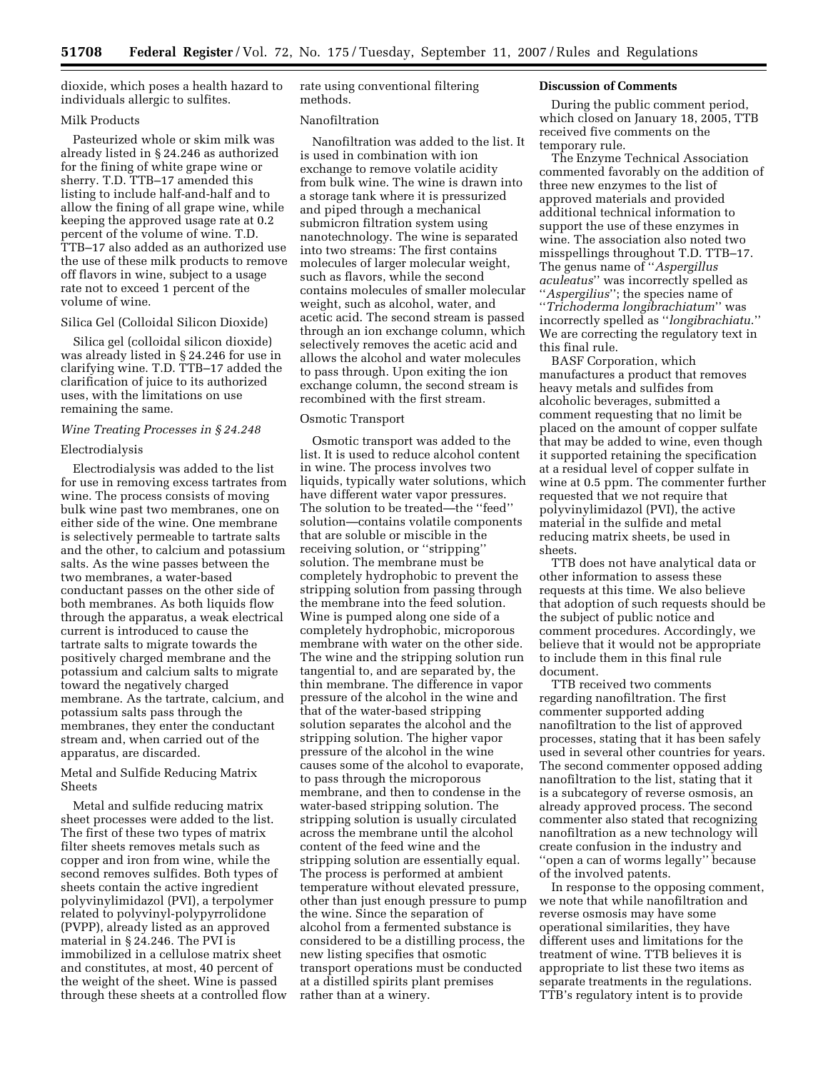dioxide, which poses a health hazard to individuals allergic to sulfites.

## Milk Products

Pasteurized whole or skim milk was already listed in § 24.246 as authorized for the fining of white grape wine or sherry. T.D. TTB–17 amended this listing to include half-and-half and to allow the fining of all grape wine, while keeping the approved usage rate at 0.2 percent of the volume of wine. T.D. TTB–17 also added as an authorized use the use of these milk products to remove off flavors in wine, subject to a usage rate not to exceed 1 percent of the volume of wine.

#### Silica Gel (Colloidal Silicon Dioxide)

Silica gel (colloidal silicon dioxide) was already listed in § 24.246 for use in clarifying wine. T.D. TTB–17 added the clarification of juice to its authorized uses, with the limitations on use remaining the same.

### *Wine Treating Processes in § 24.248*

#### Electrodialysis

Electrodialysis was added to the list for use in removing excess tartrates from wine. The process consists of moving bulk wine past two membranes, one on either side of the wine. One membrane is selectively permeable to tartrate salts and the other, to calcium and potassium salts. As the wine passes between the two membranes, a water-based conductant passes on the other side of both membranes. As both liquids flow through the apparatus, a weak electrical current is introduced to cause the tartrate salts to migrate towards the positively charged membrane and the potassium and calcium salts to migrate toward the negatively charged membrane. As the tartrate, calcium, and potassium salts pass through the membranes, they enter the conductant stream and, when carried out of the apparatus, are discarded.

# Metal and Sulfide Reducing Matrix Sheets

Metal and sulfide reducing matrix sheet processes were added to the list. The first of these two types of matrix filter sheets removes metals such as copper and iron from wine, while the second removes sulfides. Both types of sheets contain the active ingredient polyvinylimidazol (PVI), a terpolymer related to polyvinyl-polypyrrolidone (PVPP), already listed as an approved material in § 24.246. The PVI is immobilized in a cellulose matrix sheet and constitutes, at most, 40 percent of the weight of the sheet. Wine is passed through these sheets at a controlled flow rate using conventional filtering methods.

#### Nanofiltration

Nanofiltration was added to the list. It is used in combination with ion exchange to remove volatile acidity from bulk wine. The wine is drawn into a storage tank where it is pressurized and piped through a mechanical submicron filtration system using nanotechnology. The wine is separated into two streams: The first contains molecules of larger molecular weight, such as flavors, while the second contains molecules of smaller molecular weight, such as alcohol, water, and acetic acid. The second stream is passed through an ion exchange column, which selectively removes the acetic acid and allows the alcohol and water molecules to pass through. Upon exiting the ion exchange column, the second stream is recombined with the first stream.

## Osmotic Transport

Osmotic transport was added to the list. It is used to reduce alcohol content in wine. The process involves two liquids, typically water solutions, which have different water vapor pressures. The solution to be treated—the ''feed'' solution—contains volatile components that are soluble or miscible in the receiving solution, or ''stripping'' solution. The membrane must be completely hydrophobic to prevent the stripping solution from passing through the membrane into the feed solution. Wine is pumped along one side of a completely hydrophobic, microporous membrane with water on the other side. The wine and the stripping solution run tangential to, and are separated by, the thin membrane. The difference in vapor pressure of the alcohol in the wine and that of the water-based stripping solution separates the alcohol and the stripping solution. The higher vapor pressure of the alcohol in the wine causes some of the alcohol to evaporate, to pass through the microporous membrane, and then to condense in the water-based stripping solution. The stripping solution is usually circulated across the membrane until the alcohol content of the feed wine and the stripping solution are essentially equal. The process is performed at ambient temperature without elevated pressure, other than just enough pressure to pump the wine. Since the separation of alcohol from a fermented substance is considered to be a distilling process, the new listing specifies that osmotic transport operations must be conducted at a distilled spirits plant premises rather than at a winery.

### **Discussion of Comments**

During the public comment period, which closed on January 18, 2005, TTB received five comments on the temporary rule.

The Enzyme Technical Association commented favorably on the addition of three new enzymes to the list of approved materials and provided additional technical information to support the use of these enzymes in wine. The association also noted two misspellings throughout T.D. TTB–17. The genus name of ''*Aspergillus aculeatus*'' was incorrectly spelled as ''*Aspergilius*''; the species name of ''*Trichoderma longibrachiatum*'' was incorrectly spelled as ''*longibrachiatu*.'' We are correcting the regulatory text in this final rule.

BASF Corporation, which manufactures a product that removes heavy metals and sulfides from alcoholic beverages, submitted a comment requesting that no limit be placed on the amount of copper sulfate that may be added to wine, even though it supported retaining the specification at a residual level of copper sulfate in wine at 0.5 ppm. The commenter further requested that we not require that polyvinylimidazol (PVI), the active material in the sulfide and metal reducing matrix sheets, be used in sheets.

TTB does not have analytical data or other information to assess these requests at this time. We also believe that adoption of such requests should be the subject of public notice and comment procedures. Accordingly, we believe that it would not be appropriate to include them in this final rule document.

TTB received two comments regarding nanofiltration. The first commenter supported adding nanofiltration to the list of approved processes, stating that it has been safely used in several other countries for years. The second commenter opposed adding nanofiltration to the list, stating that it is a subcategory of reverse osmosis, an already approved process. The second commenter also stated that recognizing nanofiltration as a new technology will create confusion in the industry and ''open a can of worms legally'' because of the involved patents.

In response to the opposing comment, we note that while nanofiltration and reverse osmosis may have some operational similarities, they have different uses and limitations for the treatment of wine. TTB believes it is appropriate to list these two items as separate treatments in the regulations. TTB's regulatory intent is to provide